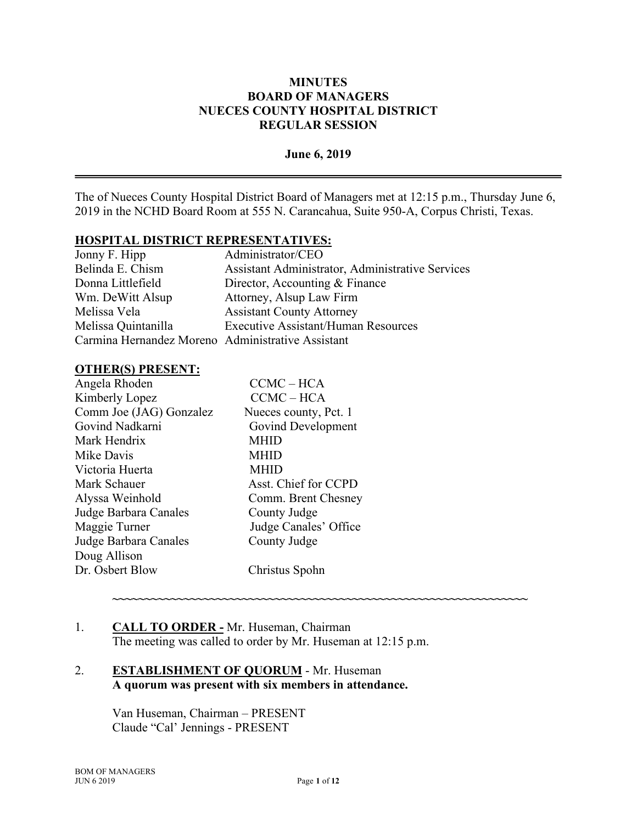### **June 6, 2019**

The of Nueces County Hospital District Board of Managers met at 12:15 p.m., Thursday June 6, 2019 in the NCHD Board Room at 555 N. Carancahua, Suite 950-A, Corpus Christi, Texas.

#### **HOSPITAL DISTRICT REPRESENTATIVES:**

| Administrator/CEO                                 |
|---------------------------------------------------|
| Assistant Administrator, Administrative Services  |
| Director, Accounting & Finance                    |
| Attorney, Alsup Law Firm                          |
| <b>Assistant County Attorney</b>                  |
| <b>Executive Assistant/Human Resources</b>        |
| Carmina Hernandez Moreno Administrative Assistant |
|                                                   |

#### **OTHER(S) PRESENT:**

| Angela Rhoden           | $CCMC - HCA$          |
|-------------------------|-----------------------|
| Kimberly Lopez          | $CCMC - HCA$          |
| Comm Joe (JAG) Gonzalez | Nueces county, Pct. 1 |
| Govind Nadkarni         | Govind Development    |
| Mark Hendrix            | <b>MHID</b>           |
| Mike Davis              | MHID                  |
| Victoria Huerta         | <b>MHID</b>           |
| Mark Schauer            | Asst. Chief for CCPD  |
| Alyssa Weinhold         | Comm. Brent Chesney   |
| Judge Barbara Canales   | County Judge          |
| Maggie Turner           | Judge Canales' Office |
| Judge Barbara Canales   | County Judge          |
| Doug Allison            |                       |
| Dr. Osbert Blow         | Christus Spohn        |

#### 1. **CALL TO ORDER -** Mr. Huseman, Chairman The meeting was called to order by Mr. Huseman at 12:15 p.m.

## 2. **ESTABLISHMENT OF QUORUM** - Mr. Huseman **A quorum was present with six members in attendance.**

Van Huseman, Chairman – PRESENT Claude "Cal' Jennings - PRESENT

**~~~~~~~~~~~~~~~~~~~~~~~~~~~~~~~~~~~~~~~~~~~~~~~~~~~~~~~~~~~~~~~~**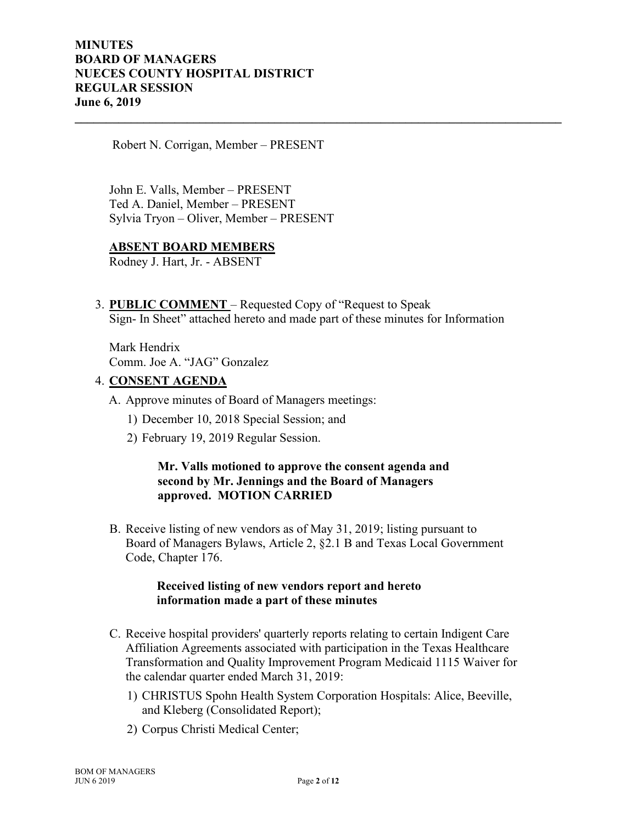Robert N. Corrigan, Member – PRESENT

John E. Valls, Member – PRESENT Ted A. Daniel, Member – PRESENT Sylvia Tryon – Oliver, Member – PRESENT

#### **ABSENT BOARD MEMBERS**

Rodney J. Hart, Jr. - ABSENT

3. **PUBLIC COMMENT** – Requested Copy of "Request to Speak Sign- In Sheet" attached hereto and made part of these minutes for Information

**\_\_\_\_\_\_\_\_\_\_\_\_\_\_\_\_\_\_\_\_\_\_\_\_\_\_\_\_\_\_\_\_\_\_\_\_\_\_\_\_\_\_\_\_\_\_\_\_\_\_\_\_\_\_\_\_\_\_\_\_\_\_\_\_\_\_\_\_\_\_\_\_\_\_\_\_\_\_**

Mark Hendrix Comm. Joe A. "JAG" Gonzalez

## 4. **CONSENT AGENDA**

- A. Approve minutes of Board of Managers meetings:
	- 1) December 10, 2018 Special Session; and
	- 2) February 19, 2019 Regular Session.

## **Mr. Valls motioned to approve the consent agenda and second by Mr. Jennings and the Board of Managers approved. MOTION CARRIED**

B. Receive listing of new vendors as of May 31, 2019; listing pursuant to Board of Managers Bylaws, Article 2, §2.1 B and Texas Local Government Code, Chapter 176.

#### **Received listing of new vendors report and hereto information made a part of these minutes**

- C. Receive hospital providers' quarterly reports relating to certain Indigent Care Affiliation Agreements associated with participation in the Texas Healthcare Transformation and Quality Improvement Program Medicaid 1115 Waiver for the calendar quarter ended March 31, 2019:
	- 1) CHRISTUS Spohn Health System Corporation Hospitals: Alice, Beeville, and Kleberg (Consolidated Report);
	- 2) Corpus Christi Medical Center;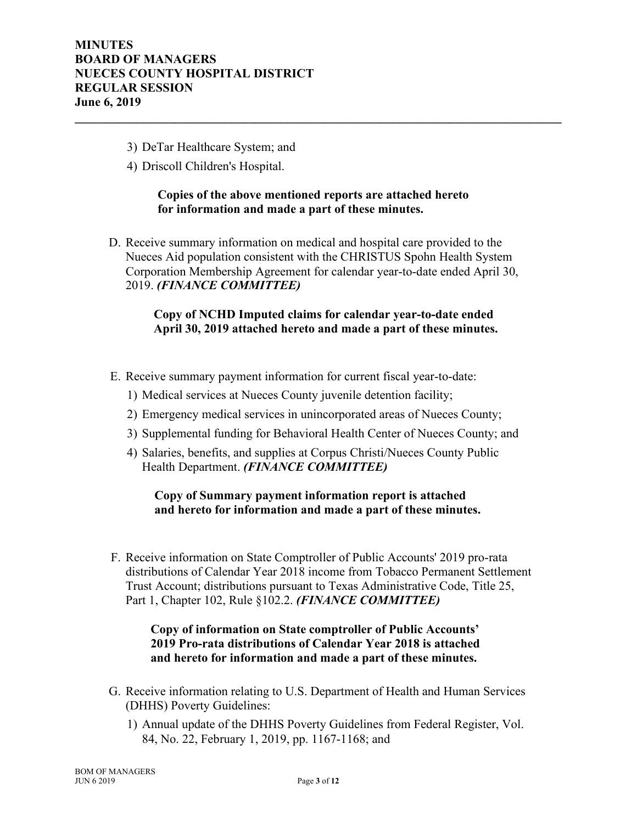- 3) DeTar Healthcare System; and
- 4) Driscoll Children's Hospital.

### **Copies of the above mentioned reports are attached hereto for information and made a part of these minutes.**

**\_\_\_\_\_\_\_\_\_\_\_\_\_\_\_\_\_\_\_\_\_\_\_\_\_\_\_\_\_\_\_\_\_\_\_\_\_\_\_\_\_\_\_\_\_\_\_\_\_\_\_\_\_\_\_\_\_\_\_\_\_\_\_\_\_\_\_\_\_\_\_\_\_\_\_\_\_\_**

D. Receive summary information on medical and hospital care provided to the Nueces Aid population consistent with the CHRISTUS Spohn Health System Corporation Membership Agreement for calendar year-to-date ended April 30, 2019. *(FINANCE COMMITTEE)*

## **Copy of NCHD Imputed claims for calendar year-to-date ended April 30, 2019 attached hereto and made a part of these minutes.**

- E. Receive summary payment information for current fiscal year-to-date:
	- 1) Medical services at Nueces County juvenile detention facility;
	- 2) Emergency medical services in unincorporated areas of Nueces County;
	- 3) Supplemental funding for Behavioral Health Center of Nueces County; and
	- 4) Salaries, benefits, and supplies at Corpus Christi/Nueces County Public Health Department. *(FINANCE COMMITTEE)*

## **Copy of Summary payment information report is attached and hereto for information and made a part of these minutes.**

F. Receive information on State Comptroller of Public Accounts' 2019 pro-rata distributions of Calendar Year 2018 income from Tobacco Permanent Settlement Trust Account; distributions pursuant to Texas Administrative Code, Title 25, Part 1, Chapter 102, Rule §102.2. *(FINANCE COMMITTEE)*

## **Copy of information on State comptroller of Public Accounts' 2019 Pro-rata distributions of Calendar Year 2018 is attached and hereto for information and made a part of these minutes.**

- G. Receive information relating to U.S. Department of Health and Human Services (DHHS) Poverty Guidelines:
	- 1) Annual update of the DHHS Poverty Guidelines from Federal Register, Vol. 84, No. 22, February 1, 2019, pp. 1167-1168; and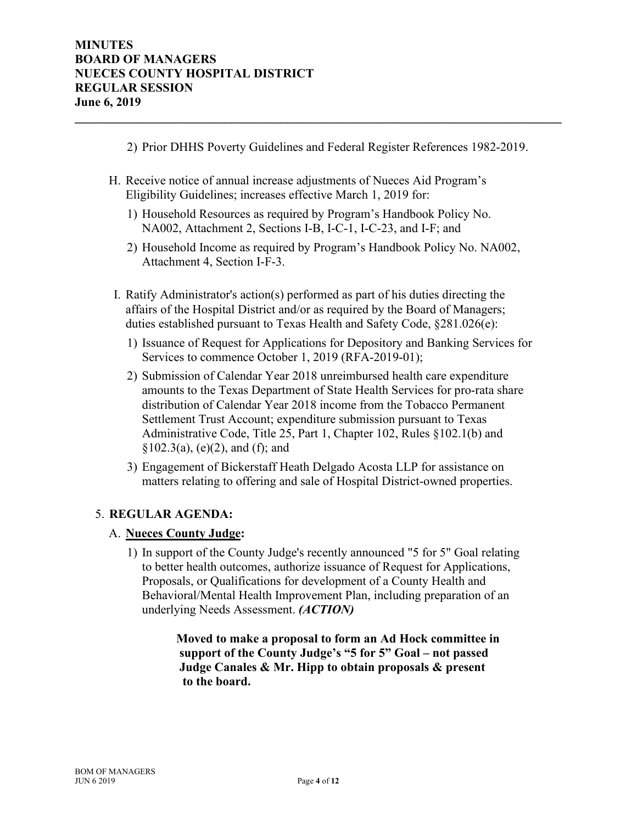2) Prior DHHS Poverty Guidelines and Federal Register References 1982-2019.

**\_\_\_\_\_\_\_\_\_\_\_\_\_\_\_\_\_\_\_\_\_\_\_\_\_\_\_\_\_\_\_\_\_\_\_\_\_\_\_\_\_\_\_\_\_\_\_\_\_\_\_\_\_\_\_\_\_\_\_\_\_\_\_\_\_\_\_\_\_\_\_\_\_\_\_\_\_\_**

- H. Receive notice of annual increase adjustments of Nueces Aid Program's Eligibility Guidelines; increases effective March 1, 2019 for:
	- 1) Household Resources as required by Program's Handbook Policy No. NA002, Attachment 2, Sections I-B, I-C-1, I-C-23, and I-F; and
	- 2) Household Income as required by Program's Handbook Policy No. NA002, Attachment 4, Section I-F-3.
- I. Ratify Administrator's action(s) performed as part of his duties directing the affairs of the Hospital District and/or as required by the Board of Managers; duties established pursuant to Texas Health and Safety Code, §281.026(e):
	- 1) Issuance of Request for Applications for Depository and Banking Services for Services to commence October 1, 2019 (RFA-2019-01);
	- 2) Submission of Calendar Year 2018 unreimbursed health care expenditure amounts to the Texas Department of State Health Services for pro-rata share distribution of Calendar Year 2018 income from the Tobacco Permanent Settlement Trust Account; expenditure submission pursuant to Texas Administrative Code, Title 25, Part 1, Chapter 102, Rules §102.1(b) and  $§102.3(a), (e)(2), and (f); and$
	- 3) Engagement of Bickerstaff Heath Delgado Acosta LLP for assistance on matters relating to offering and sale of Hospital District-owned properties.

# 5. **REGULAR AGENDA:**

#### A. **Nueces County Judge:**

1) In support of the County Judge's recently announced "5 for 5" Goal relating to better health outcomes, authorize issuance of Request for Applications, Proposals, or Qualifications for development of a County Health and Behavioral/Mental Health Improvement Plan, including preparation of an underlying Needs Assessment. *(ACTION)*

> **Moved to make a proposal to form an Ad Hock committee in support of the County Judge's "5 for 5" Goal – not passed Judge Canales & Mr. Hipp to obtain proposals & present to the board.**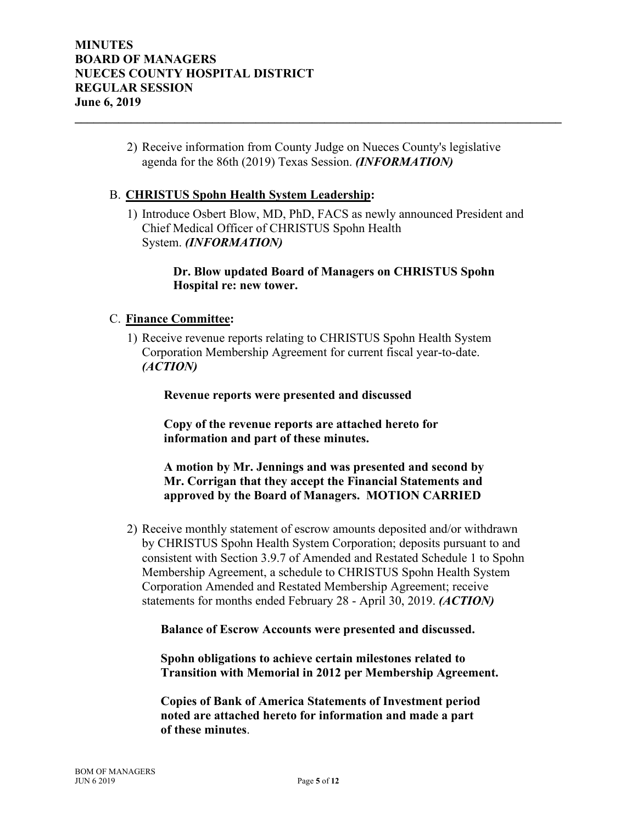2) Receive information from County Judge on Nueces County's legislative agenda for the 86th (2019) Texas Session. *(INFORMATION)*

**\_\_\_\_\_\_\_\_\_\_\_\_\_\_\_\_\_\_\_\_\_\_\_\_\_\_\_\_\_\_\_\_\_\_\_\_\_\_\_\_\_\_\_\_\_\_\_\_\_\_\_\_\_\_\_\_\_\_\_\_\_\_\_\_\_\_\_\_\_\_\_\_\_\_\_\_\_\_**

#### B. **CHRISTUS Spohn Health System Leadership:**

1) Introduce Osbert Blow, MD, PhD, FACS as newly announced President and Chief Medical Officer of CHRISTUS Spohn Health System. *(INFORMATION)*

### **Dr. Blow updated Board of Managers on CHRISTUS Spohn Hospital re: new tower.**

#### C. **Finance Committee:**

1) Receive revenue reports relating to CHRISTUS Spohn Health System Corporation Membership Agreement for current fiscal year-to-date. *(ACTION)* 

 **Revenue reports were presented and discussed** 

 **Copy of the revenue reports are attached hereto for information and part of these minutes.** 

 **A motion by Mr. Jennings and was presented and second by Mr. Corrigan that they accept the Financial Statements and approved by the Board of Managers. MOTION CARRIED**

2) Receive monthly statement of escrow amounts deposited and/or withdrawn by CHRISTUS Spohn Health System Corporation; deposits pursuant to and consistent with Section 3.9.7 of Amended and Restated Schedule 1 to Spohn Membership Agreement, a schedule to CHRISTUS Spohn Health System Corporation Amended and Restated Membership Agreement; receive statements for months ended February 28 - April 30, 2019. *(ACTION)*

 **Balance of Escrow Accounts were presented and discussed.** 

 **Spohn obligations to achieve certain milestones related to Transition with Memorial in 2012 per Membership Agreement.**

 **Copies of Bank of America Statements of Investment period noted are attached hereto for information and made a part of these minutes**.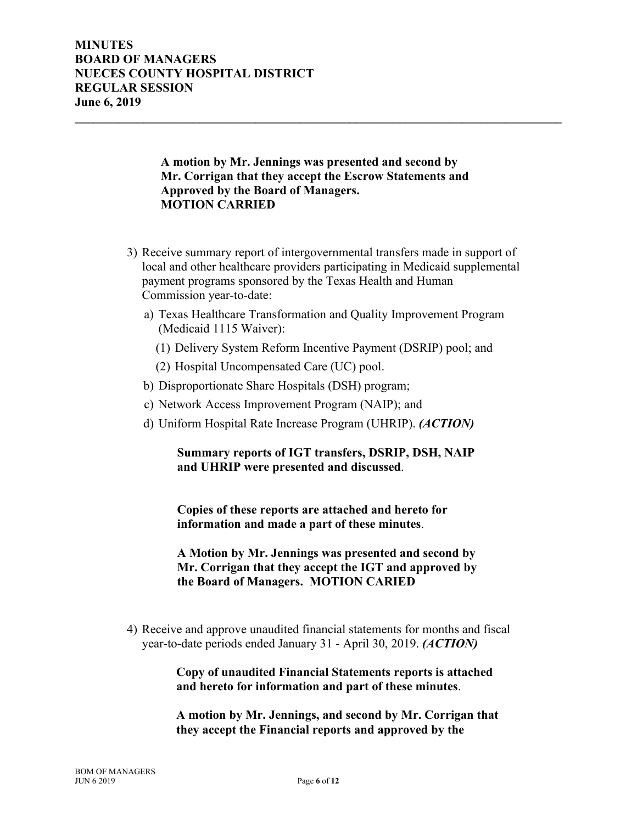### **A motion by Mr. Jennings was presented and second by Mr. Corrigan that they accept the Escrow Statements and Approved by the Board of Managers. MOTION CARRIED**

**\_\_\_\_\_\_\_\_\_\_\_\_\_\_\_\_\_\_\_\_\_\_\_\_\_\_\_\_\_\_\_\_\_\_\_\_\_\_\_\_\_\_\_\_\_\_\_\_\_\_\_\_\_\_\_\_\_\_\_\_\_\_\_\_\_\_\_\_\_\_\_\_\_\_\_\_\_\_**

- 3) Receive summary report of intergovernmental transfers made in support of local and other healthcare providers participating in Medicaid supplemental payment programs sponsored by the Texas Health and Human Commission year-to-date:
	- a) Texas Healthcare Transformation and Quality Improvement Program (Medicaid 1115 Waiver):
		- (1) Delivery System Reform Incentive Payment (DSRIP) pool; and
		- (2) Hospital Uncompensated Care (UC) pool.
	- b) Disproportionate Share Hospitals (DSH) program;
	- c) Network Access Improvement Program (NAIP); and
	- d) Uniform Hospital Rate Increase Program (UHRIP). *(ACTION)*

## **Summary reports of IGT transfers, DSRIP, DSH, NAIP and UHRIP were presented and discussed**.

 **Copies of these reports are attached and hereto for information and made a part of these minutes**.

 **A Motion by Mr. Jennings was presented and second by Mr. Corrigan that they accept the IGT and approved by the Board of Managers. MOTION CARIED** 

4) Receive and approve unaudited financial statements for months and fiscal year-to-date periods ended January 31 - April 30, 2019. *(ACTION)*

## **Copy of unaudited Financial Statements reports is attached and hereto for information and part of these minutes**.

 **A motion by Mr. Jennings, and second by Mr. Corrigan that they accept the Financial reports and approved by the**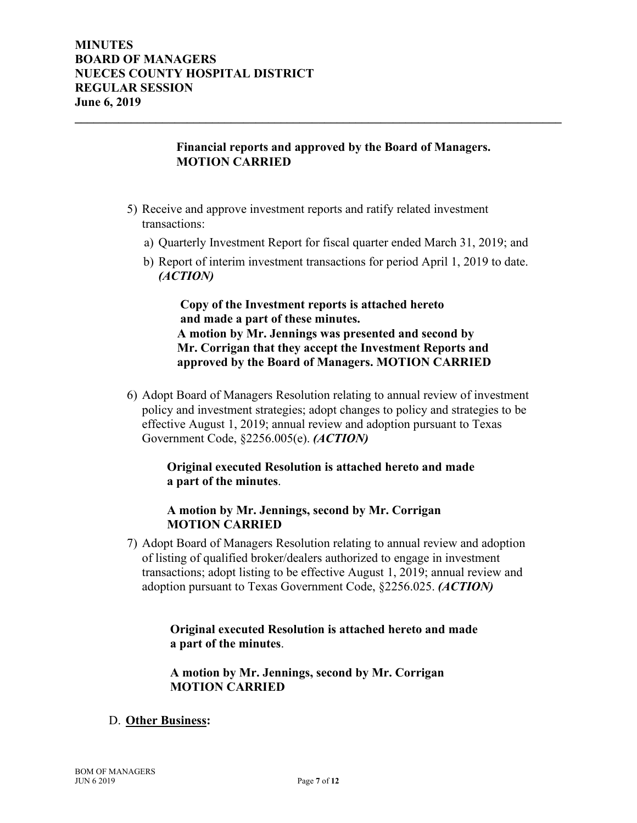### **Financial reports and approved by the Board of Managers. MOTION CARRIED**

**\_\_\_\_\_\_\_\_\_\_\_\_\_\_\_\_\_\_\_\_\_\_\_\_\_\_\_\_\_\_\_\_\_\_\_\_\_\_\_\_\_\_\_\_\_\_\_\_\_\_\_\_\_\_\_\_\_\_\_\_\_\_\_\_\_\_\_\_\_\_\_\_\_\_\_\_\_\_**

- 5) Receive and approve investment reports and ratify related investment transactions:
	- a) Quarterly Investment Report for fiscal quarter ended March 31, 2019; and
	- b) Report of interim investment transactions for period April 1, 2019 to date. *(ACTION)*

 **Copy of the Investment reports is attached hereto and made a part of these minutes. A motion by Mr. Jennings was presented and second by Mr. Corrigan that they accept the Investment Reports and approved by the Board of Managers. MOTION CARRIED** 

6) Adopt Board of Managers Resolution relating to annual review of investment policy and investment strategies; adopt changes to policy and strategies to be effective August 1, 2019; annual review and adoption pursuant to Texas Government Code, §2256.005(e). *(ACTION)*

## **Original executed Resolution is attached hereto and made a part of the minutes**.

#### **A motion by Mr. Jennings, second by Mr. Corrigan MOTION CARRIED**

7) Adopt Board of Managers Resolution relating to annual review and adoption of listing of qualified broker/dealers authorized to engage in investment transactions; adopt listing to be effective August 1, 2019; annual review and adoption pursuant to Texas Government Code, §2256.025. *(ACTION)*

> **Original executed Resolution is attached hereto and made a part of the minutes**.

 **A motion by Mr. Jennings, second by Mr. Corrigan MOTION CARRIED**

### D. **Other Business:**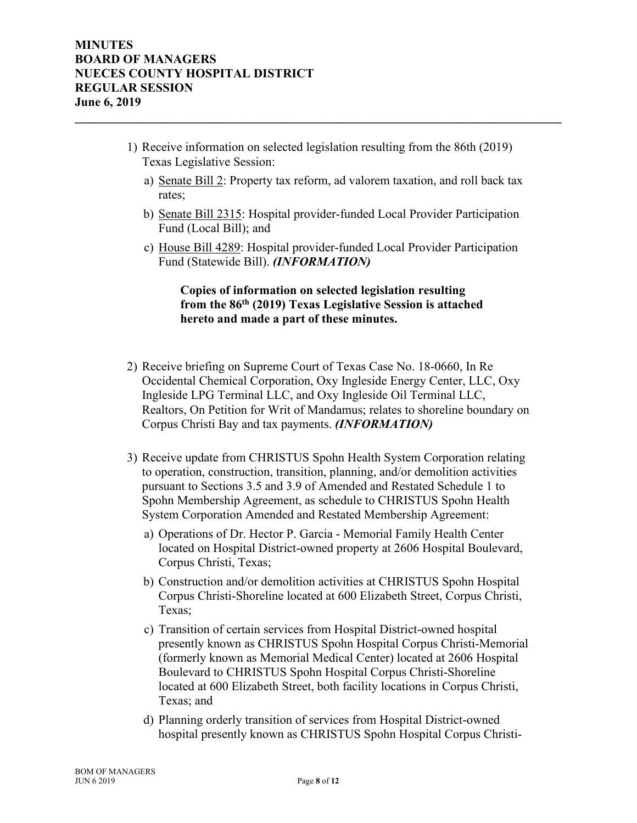1) Receive information on selected legislation resulting from the 86th (2019) Texas Legislative Session:

**\_\_\_\_\_\_\_\_\_\_\_\_\_\_\_\_\_\_\_\_\_\_\_\_\_\_\_\_\_\_\_\_\_\_\_\_\_\_\_\_\_\_\_\_\_\_\_\_\_\_\_\_\_\_\_\_\_\_\_\_\_\_\_\_\_\_\_\_\_\_\_\_\_\_\_\_\_\_**

- a) Senate Bill 2: Property tax reform, ad valorem taxation, and roll back tax rates;
- b) Senate Bill 2315: Hospital provider-funded Local Provider Participation Fund (Local Bill); and
- c) House Bill 4289: Hospital provider-funded Local Provider Participation Fund (Statewide Bill). *(INFORMATION)*

 **Copies of information on selected legislation resulting from the 86th (2019) Texas Legislative Session is attached hereto and made a part of these minutes.** 

- 2) Receive briefing on Supreme Court of Texas Case No. 18-0660, In Re Occidental Chemical Corporation, Oxy Ingleside Energy Center, LLC, Oxy Ingleside LPG Terminal LLC, and Oxy Ingleside Oil Terminal LLC, Realtors, On Petition for Writ of Mandamus; relates to shoreline boundary on Corpus Christi Bay and tax payments. *(INFORMATION)*
- 3) Receive update from CHRISTUS Spohn Health System Corporation relating to operation, construction, transition, planning, and/or demolition activities pursuant to Sections 3.5 and 3.9 of Amended and Restated Schedule 1 to Spohn Membership Agreement, as schedule to CHRISTUS Spohn Health System Corporation Amended and Restated Membership Agreement:
	- a) Operations of Dr. Hector P. Garcia Memorial Family Health Center located on Hospital District-owned property at 2606 Hospital Boulevard, Corpus Christi, Texas;
	- b) Construction and/or demolition activities at CHRISTUS Spohn Hospital Corpus Christi-Shoreline located at 600 Elizabeth Street, Corpus Christi, Texas;
	- c) Transition of certain services from Hospital District-owned hospital presently known as CHRISTUS Spohn Hospital Corpus Christi-Memorial (formerly known as Memorial Medical Center) located at 2606 Hospital Boulevard to CHRISTUS Spohn Hospital Corpus Christi-Shoreline located at 600 Elizabeth Street, both facility locations in Corpus Christi, Texas; and
	- d) Planning orderly transition of services from Hospital District-owned hospital presently known as CHRISTUS Spohn Hospital Corpus Christi-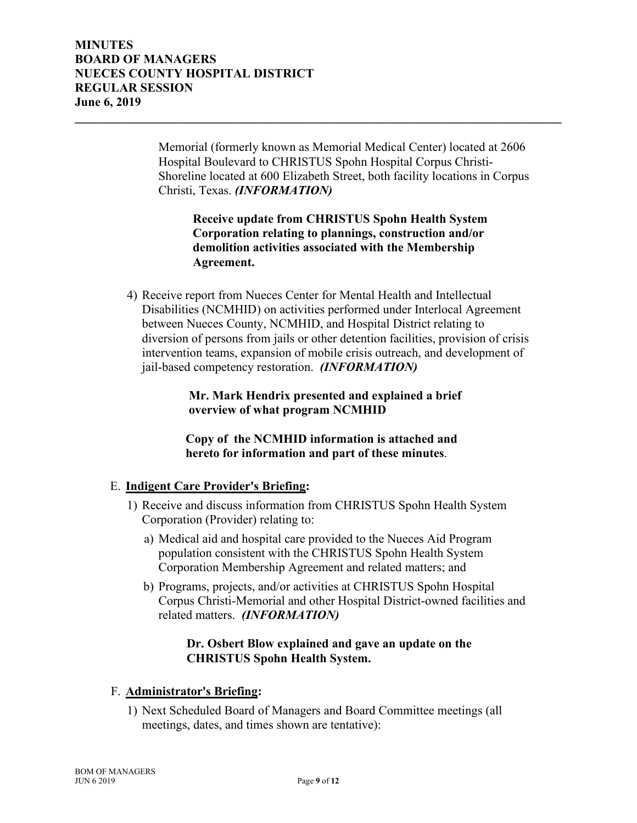Memorial (formerly known as Memorial Medical Center) located at 2606 Hospital Boulevard to CHRISTUS Spohn Hospital Corpus Christi-Shoreline located at 600 Elizabeth Street, both facility locations in Corpus Christi, Texas. *(INFORMATION)*

**\_\_\_\_\_\_\_\_\_\_\_\_\_\_\_\_\_\_\_\_\_\_\_\_\_\_\_\_\_\_\_\_\_\_\_\_\_\_\_\_\_\_\_\_\_\_\_\_\_\_\_\_\_\_\_\_\_\_\_\_\_\_\_\_\_\_\_\_\_\_\_\_\_\_\_\_\_\_**

# **Receive update from CHRISTUS Spohn Health System Corporation relating to plannings, construction and/or demolition activities associated with the Membership Agreement.**

4) Receive report from Nueces Center for Mental Health and Intellectual Disabilities (NCMHID) on activities performed under Interlocal Agreement between Nueces County, NCMHID, and Hospital District relating to diversion of persons from jails or other detention facilities, provision of crisis intervention teams, expansion of mobile crisis outreach, and development of jail-based competency restoration. *(INFORMATION)*

> **Mr. Mark Hendrix presented and explained a brief overview of what program NCMHID**

 **Copy of the NCMHID information is attached and hereto for information and part of these minutes**.

# E. **Indigent Care Provider's Briefing:**

- 1) Receive and discuss information from CHRISTUS Spohn Health System Corporation (Provider) relating to:
	- a) Medical aid and hospital care provided to the Nueces Aid Program population consistent with the CHRISTUS Spohn Health System Corporation Membership Agreement and related matters; and
	- b) Programs, projects, and/or activities at CHRISTUS Spohn Hospital Corpus Christi-Memorial and other Hospital District-owned facilities and related matters. *(INFORMATION)*

# **Dr. Osbert Blow explained and gave an update on the CHRISTUS Spohn Health System.**

#### F. **Administrator's Briefing:**

1) Next Scheduled Board of Managers and Board Committee meetings (all meetings, dates, and times shown are tentative):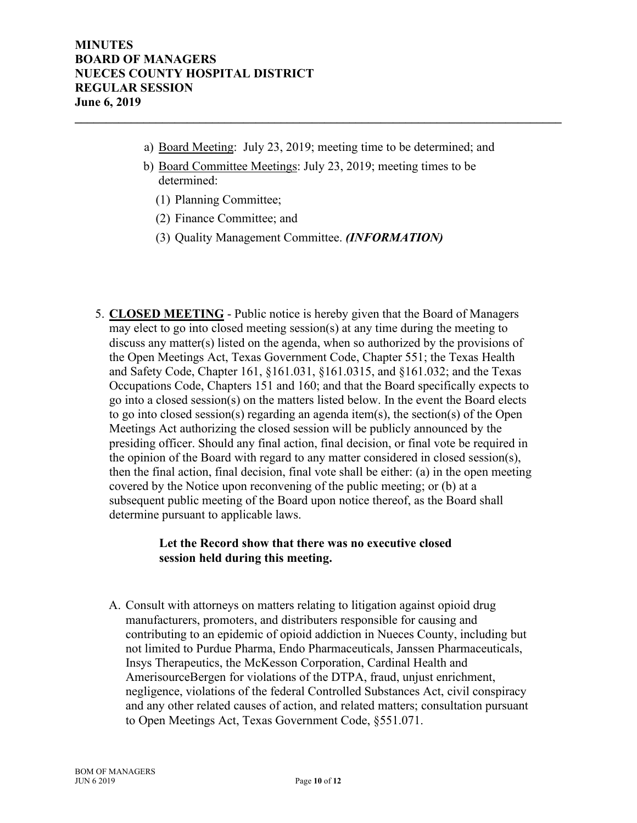a) Board Meeting: July 23, 2019; meeting time to be determined; and

**\_\_\_\_\_\_\_\_\_\_\_\_\_\_\_\_\_\_\_\_\_\_\_\_\_\_\_\_\_\_\_\_\_\_\_\_\_\_\_\_\_\_\_\_\_\_\_\_\_\_\_\_\_\_\_\_\_\_\_\_\_\_\_\_\_\_\_\_\_\_\_\_\_\_\_\_\_\_**

- b) Board Committee Meetings: July 23, 2019; meeting times to be determined:
	- (1) Planning Committee;
	- (2) Finance Committee; and
	- (3) Quality Management Committee. *(INFORMATION)*
- 5. **CLOSED MEETING** Public notice is hereby given that the Board of Managers may elect to go into closed meeting session(s) at any time during the meeting to discuss any matter(s) listed on the agenda, when so authorized by the provisions of the Open Meetings Act, Texas Government Code, Chapter 551; the Texas Health and Safety Code, Chapter 161, §161.031, §161.0315, and §161.032; and the Texas Occupations Code, Chapters 151 and 160; and that the Board specifically expects to go into a closed session(s) on the matters listed below. In the event the Board elects to go into closed session(s) regarding an agenda item(s), the section(s) of the Open Meetings Act authorizing the closed session will be publicly announced by the presiding officer. Should any final action, final decision, or final vote be required in the opinion of the Board with regard to any matter considered in closed session(s), then the final action, final decision, final vote shall be either: (a) in the open meeting covered by the Notice upon reconvening of the public meeting; or (b) at a subsequent public meeting of the Board upon notice thereof, as the Board shall determine pursuant to applicable laws.

## **Let the Record show that there was no executive closed session held during this meeting.**

A. Consult with attorneys on matters relating to litigation against opioid drug manufacturers, promoters, and distributers responsible for causing and contributing to an epidemic of opioid addiction in Nueces County, including but not limited to Purdue Pharma, Endo Pharmaceuticals, Janssen Pharmaceuticals, Insys Therapeutics, the McKesson Corporation, Cardinal Health and AmerisourceBergen for violations of the DTPA, fraud, unjust enrichment, negligence, violations of the federal Controlled Substances Act, civil conspiracy and any other related causes of action, and related matters; consultation pursuant to Open Meetings Act, Texas Government Code, §551.071.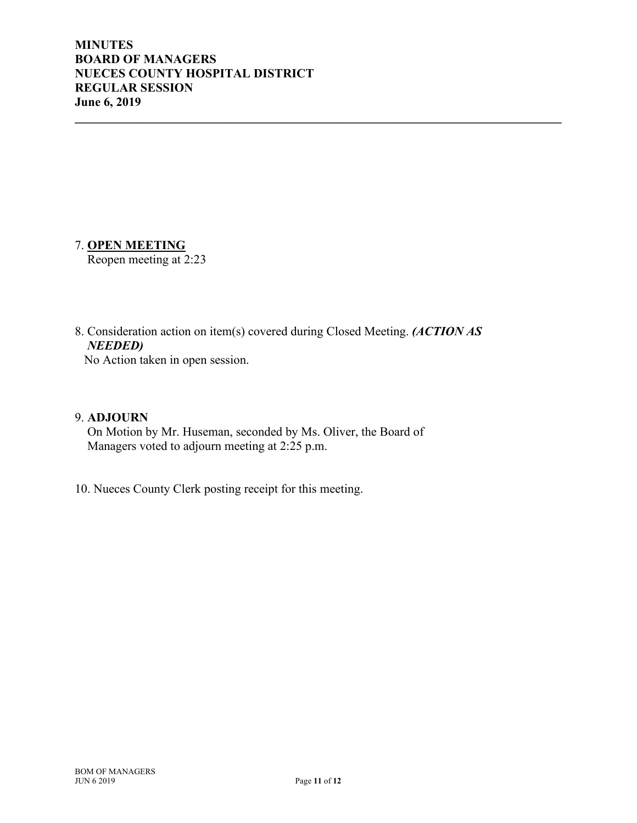## 7. **OPEN MEETING**

Reopen meeting at 2:23

8. Consideration action on item(s) covered during Closed Meeting. *(ACTION AS NEEDED)* 

**\_\_\_\_\_\_\_\_\_\_\_\_\_\_\_\_\_\_\_\_\_\_\_\_\_\_\_\_\_\_\_\_\_\_\_\_\_\_\_\_\_\_\_\_\_\_\_\_\_\_\_\_\_\_\_\_\_\_\_\_\_\_\_\_\_\_\_\_\_\_\_\_\_\_\_\_\_\_**

No Action taken in open session.

#### 9. **ADJOURN**

On Motion by Mr. Huseman, seconded by Ms. Oliver, the Board of Managers voted to adjourn meeting at 2:25 p.m.

10. Nueces County Clerk posting receipt for this meeting.